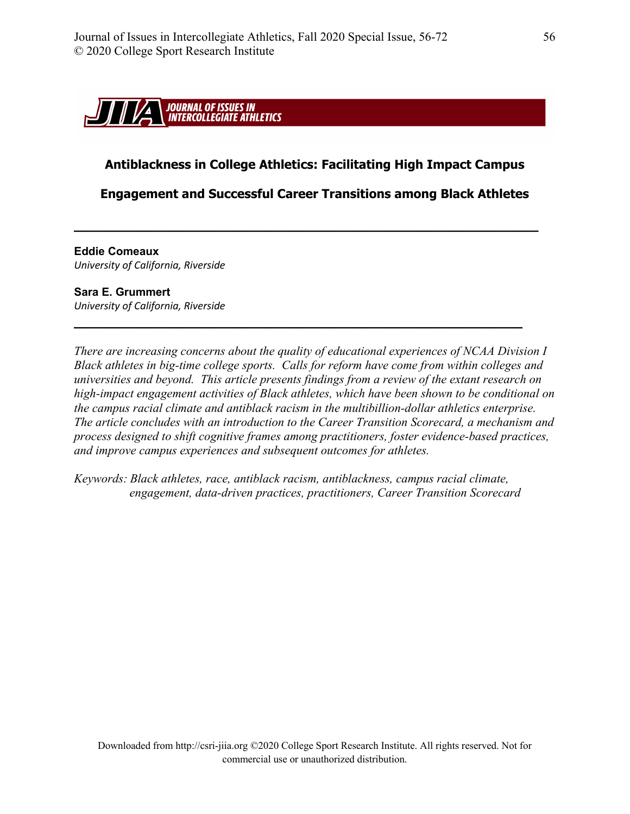

## **Antiblackness in College Athletics: Facilitating High Impact Campus**

## **Engagement and Successful Career Transitions among Black Athletes**

**\_\_\_\_\_\_\_\_\_\_\_\_\_\_\_\_\_\_\_\_\_\_\_\_\_\_\_\_\_\_\_\_\_\_\_\_\_\_\_\_\_\_\_\_\_\_\_\_\_\_\_\_\_\_\_\_\_\_**

**\_\_\_\_\_\_\_\_\_\_\_\_\_\_\_\_\_\_\_\_\_\_\_\_\_\_\_\_\_\_\_\_\_\_\_\_\_\_\_\_\_\_\_\_\_\_\_\_\_\_\_\_\_\_\_\_**

**Eddie Comeaux**  *University of California, Riverside*

#### **Sara E. Grummert**

*University of California, Riverside* 

*There are increasing concerns about the quality of educational experiences of NCAA Division I Black athletes in big-time college sports. Calls for reform have come from within colleges and universities and beyond. This article presents findings from a review of the extant research on high-impact engagement activities of Black athletes, which have been shown to be conditional on the campus racial climate and antiblack racism in the multibillion-dollar athletics enterprise. The article concludes with an introduction to the Career Transition Scorecard, a mechanism and process designed to shift cognitive frames among practitioners, foster evidence-based practices, and improve campus experiences and subsequent outcomes for athletes.*

*Keywords: Black athletes, race, antiblack racism, antiblackness, campus racial climate, engagement, data-driven practices, practitioners, Career Transition Scorecard*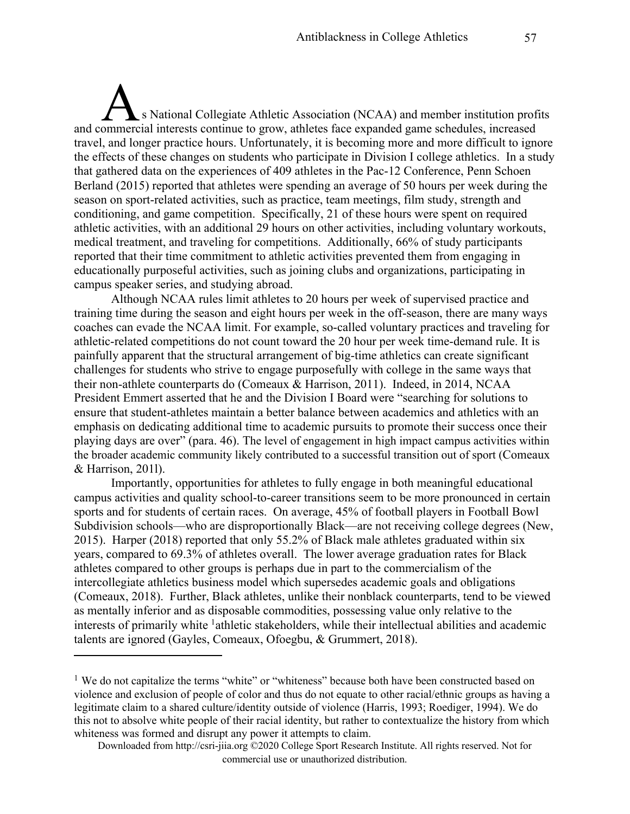s National Collegiate Athletic Association (NCAA) and member institution profits A<br>
S National Collegiate Athletic Association (NCAA) and member institution prof<br>
and commercial interests continue to grow, athletes face expanded game schedules, increased travel, and longer practice hours. Unfortunately, it is becoming more and more difficult to ignore the effects of these changes on students who participate in Division I college athletics. In a study that gathered data on the experiences of 409 athletes in the Pac-12 Conference, Penn Schoen Berland (2015) reported that athletes were spending an average of 50 hours per week during the season on sport-related activities, such as practice, team meetings, film study, strength and conditioning, and game competition. Specifically, 21 of these hours were spent on required athletic activities, with an additional 29 hours on other activities, including voluntary workouts, medical treatment, and traveling for competitions. Additionally, 66% of study participants reported that their time commitment to athletic activities prevented them from engaging in educationally purposeful activities, such as joining clubs and organizations, participating in campus speaker series, and studying abroad.

Although NCAA rules limit athletes to 20 hours per week of supervised practice and training time during the season and eight hours per week in the off-season, there are many ways coaches can evade the NCAA limit. For example, so-called voluntary practices and traveling for athletic-related competitions do not count toward the 20 hour per week time-demand rule. It is painfully apparent that the structural arrangement of big-time athletics can create significant challenges for students who strive to engage purposefully with college in the same ways that their non-athlete counterparts do (Comeaux & Harrison, 2011). Indeed, in 2014, NCAA President Emmert asserted that he and the Division I Board were "searching for solutions to ensure that student-athletes maintain a better balance between academics and athletics with an emphasis on dedicating additional time to academic pursuits to promote their success once their playing days are over" (para. 46). The level of engagement in high impact campus activities within the broader academic community likely contributed to a successful transition out of sport (Comeaux & Harrison, 201l).

Importantly, opportunities for athletes to fully engage in both meaningful educational campus activities and quality school-to-career transitions seem to be more pronounced in certain sports and for students of certain races. On average, 45% of football players in Football Bowl Subdivision schools—who are disproportionally Black—are not receiving college degrees (New, 2015). Harper (2018) reported that only 55.2% of Black male athletes graduated within six years, compared to 69.3% of athletes overall. The lower average graduation rates for Black athletes compared to other groups is perhaps due in part to the commercialism of the intercollegiate athletics business model which supersedes academic goals and obligations (Comeaux, 2018). Further, Black athletes, unlike their nonblack counterparts, tend to be viewed as mentally inferior and as disposable commodities, possessing value only relative to the interests of primarily white <sup>1</sup>athletic stakeholders, while their intellectual abilities and academic talents are ignored (Gayles, Comeaux, Ofoegbu, & Grummert, 2018).

<sup>&</sup>lt;sup>1</sup> We do not capitalize the terms "white" or "whiteness" because both have been constructed based on violence and exclusion of people of color and thus do not equate to other racial/ethnic groups as having a legitimate claim to a shared culture/identity outside of violence (Harris, 1993; Roediger, 1994). We do this not to absolve white people of their racial identity, but rather to contextualize the history from which whiteness was formed and disrupt any power it attempts to claim.

Downloaded from http://csri-jiia.org ©2020 College Sport Research Institute. All rights reserved. Not for commercial use or unauthorized distribution.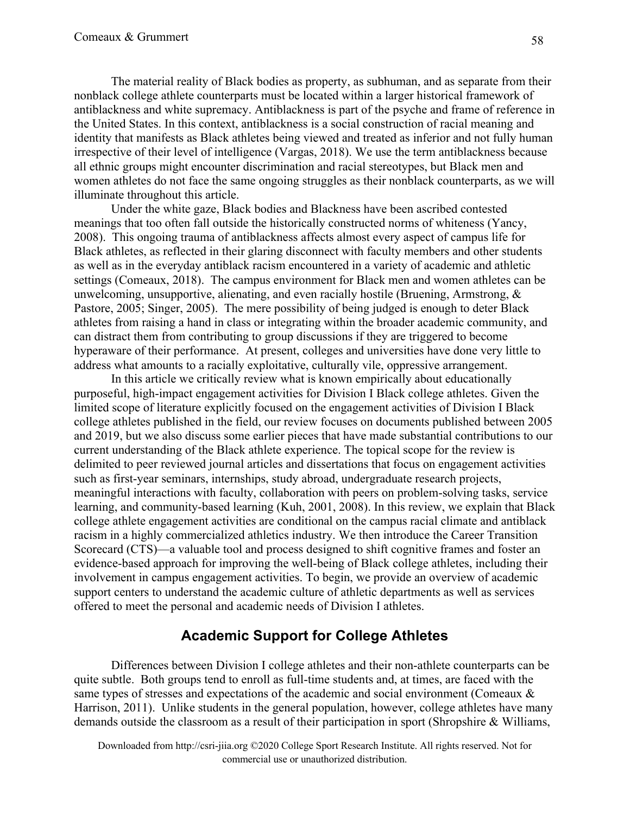The material reality of Black bodies as property, as subhuman, and as separate from their nonblack college athlete counterparts must be located within a larger historical framework of antiblackness and white supremacy. Antiblackness is part of the psyche and frame of reference in the United States. In this context, antiblackness is a social construction of racial meaning and identity that manifests as Black athletes being viewed and treated as inferior and not fully human irrespective of their level of intelligence (Vargas, 2018). We use the term antiblackness because all ethnic groups might encounter discrimination and racial stereotypes, but Black men and women athletes do not face the same ongoing struggles as their nonblack counterparts, as we will illuminate throughout this article.

Under the white gaze, Black bodies and Blackness have been ascribed contested meanings that too often fall outside the historically constructed norms of whiteness (Yancy, 2008). This ongoing trauma of antiblackness affects almost every aspect of campus life for Black athletes, as reflected in their glaring disconnect with faculty members and other students as well as in the everyday antiblack racism encountered in a variety of academic and athletic settings (Comeaux, 2018). The campus environment for Black men and women athletes can be unwelcoming, unsupportive, alienating, and even racially hostile (Bruening, Armstrong, & Pastore, 2005; Singer, 2005). The mere possibility of being judged is enough to deter Black athletes from raising a hand in class or integrating within the broader academic community, and can distract them from contributing to group discussions if they are triggered to become hyperaware of their performance. At present, colleges and universities have done very little to address what amounts to a racially exploitative, culturally vile, oppressive arrangement.

In this article we critically review what is known empirically about educationally purposeful, high-impact engagement activities for Division I Black college athletes. Given the limited scope of literature explicitly focused on the engagement activities of Division I Black college athletes published in the field, our review focuses on documents published between 2005 and 2019, but we also discuss some earlier pieces that have made substantial contributions to our current understanding of the Black athlete experience. The topical scope for the review is delimited to peer reviewed journal articles and dissertations that focus on engagement activities such as first-year seminars, internships, study abroad, undergraduate research projects, meaningful interactions with faculty, collaboration with peers on problem-solving tasks, service learning, and community-based learning (Kuh, 2001, 2008). In this review, we explain that Black college athlete engagement activities are conditional on the campus racial climate and antiblack racism in a highly commercialized athletics industry. We then introduce the Career Transition Scorecard (CTS)—a valuable tool and process designed to shift cognitive frames and foster an evidence-based approach for improving the well-being of Black college athletes, including their involvement in campus engagement activities. To begin, we provide an overview of academic support centers to understand the academic culture of athletic departments as well as services offered to meet the personal and academic needs of Division I athletes.

# **Academic Support for College Athletes**

Differences between Division I college athletes and their non-athlete counterparts can be quite subtle. Both groups tend to enroll as full-time students and, at times, are faced with the same types of stresses and expectations of the academic and social environment (Comeaux & Harrison, 2011). Unlike students in the general population, however, college athletes have many demands outside the classroom as a result of their participation in sport (Shropshire & Williams,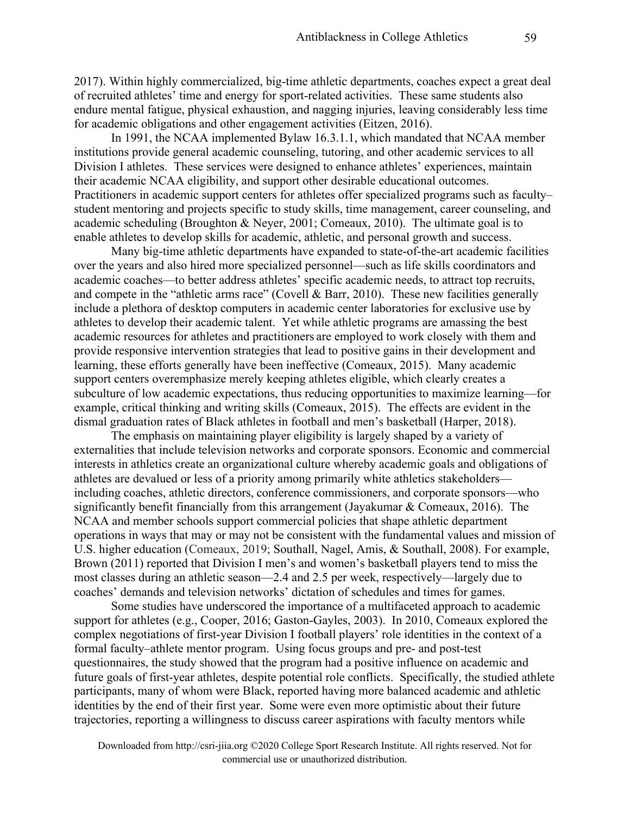2017). Within highly commercialized, big-time athletic departments, coaches expect a great deal of recruited athletes' time and energy for sport-related activities. These same students also endure mental fatigue, physical exhaustion, and nagging injuries, leaving considerably less time for academic obligations and other engagement activities (Eitzen, 2016).

In 1991, the NCAA implemented Bylaw 16.3.1.1, which mandated that NCAA member institutions provide general academic counseling, tutoring, and other academic services to all Division I athletes. These services were designed to enhance athletes' experiences, maintain their academic NCAA eligibility, and support other desirable educational outcomes. Practitioners in academic support centers for athletes offer specialized programs such as faculty– student mentoring and projects specific to study skills, time management, career counseling, and academic scheduling (Broughton & Neyer, 2001; Comeaux, 2010). The ultimate goal is to enable athletes to develop skills for academic, athletic, and personal growth and success.

Many big-time athletic departments have expanded to state-of-the-art academic facilities over the years and also hired more specialized personnel—such as life skills coordinators and academic coaches—to better address athletes' specific academic needs, to attract top recruits, and compete in the "athletic arms race" (Covell & Barr, 2010). These new facilities generally include a plethora of desktop computers in academic center laboratories for exclusive use by athletes to develop their academic talent. Yet while athletic programs are amassing the best academic resources for athletes and practitioners are employed to work closely with them and provide responsive intervention strategies that lead to positive gains in their development and learning, these efforts generally have been ineffective (Comeaux, 2015). Many academic support centers overemphasize merely keeping athletes eligible, which clearly creates a subculture of low academic expectations, thus reducing opportunities to maximize learning—for example, critical thinking and writing skills (Comeaux, 2015). The effects are evident in the dismal graduation rates of Black athletes in football and men's basketball (Harper, 2018).

The emphasis on maintaining player eligibility is largely shaped by a variety of externalities that include television networks and corporate sponsors. Economic and commercial interests in athletics create an organizational culture whereby academic goals and obligations of athletes are devalued or less of a priority among primarily white athletics stakeholders including coaches, athletic directors, conference commissioners, and corporate sponsors—who significantly benefit financially from this arrangement (Jayakumar & Comeaux, 2016). The NCAA and member schools support commercial policies that shape athletic department operations in ways that may or may not be consistent with the fundamental values and mission of U.S. higher education (Comeaux, 2019; Southall, Nagel, Amis, & Southall, 2008). For example, Brown (2011) reported that Division I men's and women's basketball players tend to miss the most classes during an athletic season—2.4 and 2.5 per week, respectively—largely due to coaches' demands and television networks' dictation of schedules and times for games.

Some studies have underscored the importance of a multifaceted approach to academic support for athletes (e.g., Cooper, 2016; Gaston-Gayles, 2003). In 2010, Comeaux explored the complex negotiations of first-year Division I football players' role identities in the context of a formal faculty–athlete mentor program. Using focus groups and pre- and post-test questionnaires, the study showed that the program had a positive influence on academic and future goals of first-year athletes, despite potential role conflicts. Specifically, the studied athlete participants, many of whom were Black, reported having more balanced academic and athletic identities by the end of their first year. Some were even more optimistic about their future trajectories, reporting a willingness to discuss career aspirations with faculty mentors while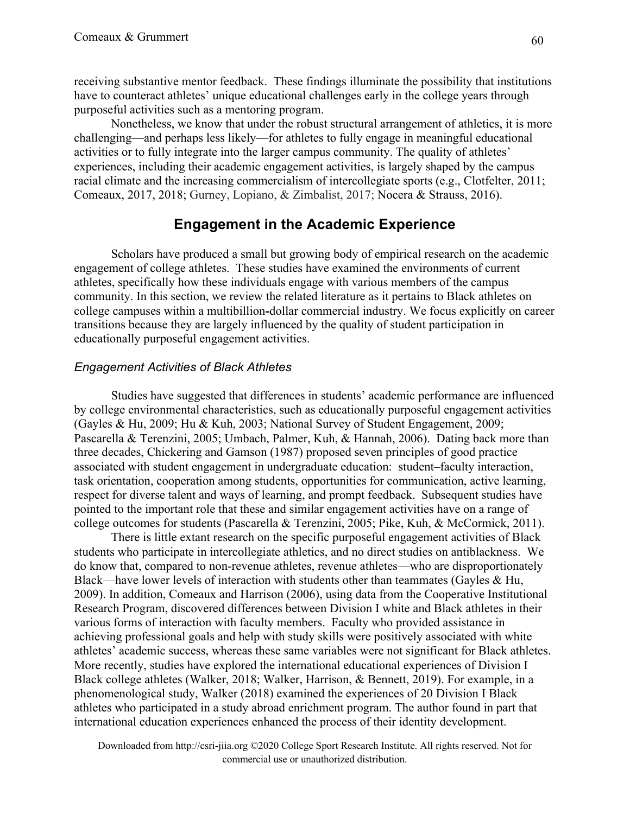receiving substantive mentor feedback. These findings illuminate the possibility that institutions have to counteract athletes' unique educational challenges early in the college years through purposeful activities such as a mentoring program.

Nonetheless, we know that under the robust structural arrangement of athletics, it is more challenging—and perhaps less likely—for athletes to fully engage in meaningful educational activities or to fully integrate into the larger campus community. The quality of athletes' experiences, including their academic engagement activities, is largely shaped by the campus racial climate and the increasing commercialism of intercollegiate sports (e.g., Clotfelter, 2011; Comeaux, 2017, 2018; Gurney, Lopiano, & Zimbalist, 2017; Nocera & Strauss, 2016).

# **Engagement in the Academic Experience**

Scholars have produced a small but growing body of empirical research on the academic engagement of college athletes. These studies have examined the environments of current athletes, specifically how these individuals engage with various members of the campus community. In this section, we review the related literature as it pertains to Black athletes on college campuses within a multibillion**-**dollar commercial industry. We focus explicitly on career transitions because they are largely influenced by the quality of student participation in educationally purposeful engagement activities.

## *Engagement Activities of Black Athletes*

Studies have suggested that differences in students' academic performance are influenced by college environmental characteristics, such as educationally purposeful engagement activities (Gayles & Hu, 2009; Hu & Kuh, 2003; National Survey of Student Engagement, 2009; Pascarella & Terenzini, 2005; Umbach, Palmer, Kuh, & Hannah, 2006). Dating back more than three decades, Chickering and Gamson (1987) proposed seven principles of good practice associated with student engagement in undergraduate education: student–faculty interaction, task orientation, cooperation among students, opportunities for communication, active learning, respect for diverse talent and ways of learning, and prompt feedback. Subsequent studies have pointed to the important role that these and similar engagement activities have on a range of college outcomes for students (Pascarella & Terenzini, 2005; Pike, Kuh, & McCormick, 2011).

There is little extant research on the specific purposeful engagement activities of Black students who participate in intercollegiate athletics, and no direct studies on antiblackness. We do know that, compared to non-revenue athletes, revenue athletes—who are disproportionately Black—have lower levels of interaction with students other than teammates (Gayles & Hu, 2009). In addition, Comeaux and Harrison (2006), using data from the Cooperative Institutional Research Program, discovered differences between Division I white and Black athletes in their various forms of interaction with faculty members. Faculty who provided assistance in achieving professional goals and help with study skills were positively associated with white athletes' academic success, whereas these same variables were not significant for Black athletes. More recently, studies have explored the international educational experiences of Division I Black college athletes (Walker, 2018; Walker, Harrison, & Bennett, 2019). For example, in a phenomenological study, Walker (2018) examined the experiences of 20 Division I Black athletes who participated in a study abroad enrichment program. The author found in part that international education experiences enhanced the process of their identity development.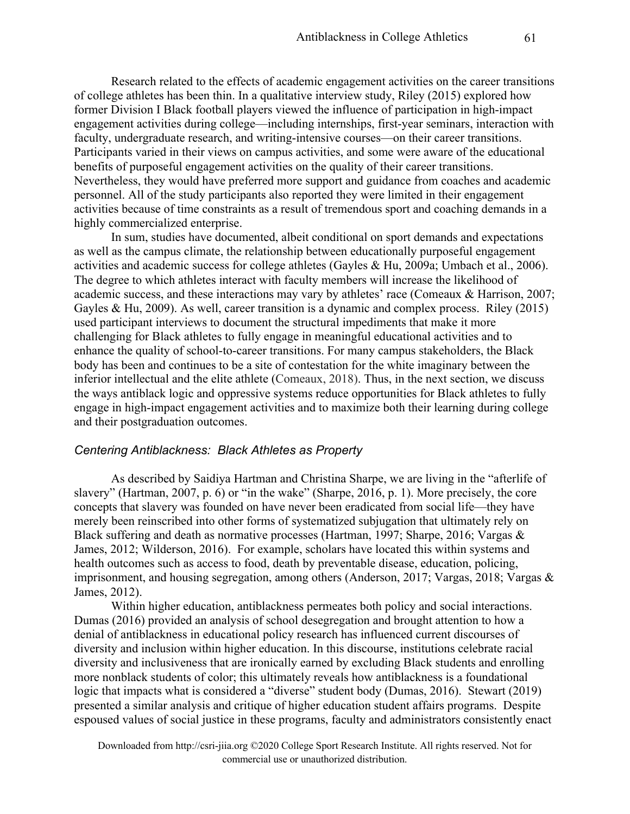Research related to the effects of academic engagement activities on the career transitions of college athletes has been thin. In a qualitative interview study, Riley (2015) explored how former Division I Black football players viewed the influence of participation in high-impact engagement activities during college—including internships, first-year seminars, interaction with faculty, undergraduate research, and writing-intensive courses—on their career transitions. Participants varied in their views on campus activities, and some were aware of the educational benefits of purposeful engagement activities on the quality of their career transitions. Nevertheless, they would have preferred more support and guidance from coaches and academic personnel. All of the study participants also reported they were limited in their engagement activities because of time constraints as a result of tremendous sport and coaching demands in a highly commercialized enterprise.

In sum, studies have documented, albeit conditional on sport demands and expectations as well as the campus climate, the relationship between educationally purposeful engagement activities and academic success for college athletes (Gayles & Hu, 2009a; Umbach et al., 2006). The degree to which athletes interact with faculty members will increase the likelihood of academic success, and these interactions may vary by athletes' race (Comeaux & Harrison, 2007; Gayles & Hu, 2009). As well, career transition is a dynamic and complex process. Riley (2015) used participant interviews to document the structural impediments that make it more challenging for Black athletes to fully engage in meaningful educational activities and to enhance the quality of school-to-career transitions. For many campus stakeholders, the Black body has been and continues to be a site of contestation for the white imaginary between the inferior intellectual and the elite athlete (Comeaux, 2018). Thus, in the next section, we discuss the ways antiblack logic and oppressive systems reduce opportunities for Black athletes to fully engage in high-impact engagement activities and to maximize both their learning during college and their postgraduation outcomes.

#### *Centering Antiblackness: Black Athletes as Property*

As described by Saidiya Hartman and Christina Sharpe, we are living in the "afterlife of slavery" (Hartman, 2007, p. 6) or "in the wake" (Sharpe, 2016, p. 1). More precisely, the core concepts that slavery was founded on have never been eradicated from social life—they have merely been reinscribed into other forms of systematized subjugation that ultimately rely on Black suffering and death as normative processes (Hartman, 1997; Sharpe, 2016; Vargas & James, 2012; Wilderson, 2016). For example, scholars have located this within systems and health outcomes such as access to food, death by preventable disease, education, policing, imprisonment, and housing segregation, among others (Anderson, 2017; Vargas, 2018; Vargas & James, 2012).

Within higher education, antiblackness permeates both policy and social interactions. Dumas (2016) provided an analysis of school desegregation and brought attention to how a denial of antiblackness in educational policy research has influenced current discourses of diversity and inclusion within higher education. In this discourse, institutions celebrate racial diversity and inclusiveness that are ironically earned by excluding Black students and enrolling more nonblack students of color; this ultimately reveals how antiblackness is a foundational logic that impacts what is considered a "diverse" student body (Dumas, 2016). Stewart (2019) presented a similar analysis and critique of higher education student affairs programs. Despite espoused values of social justice in these programs, faculty and administrators consistently enact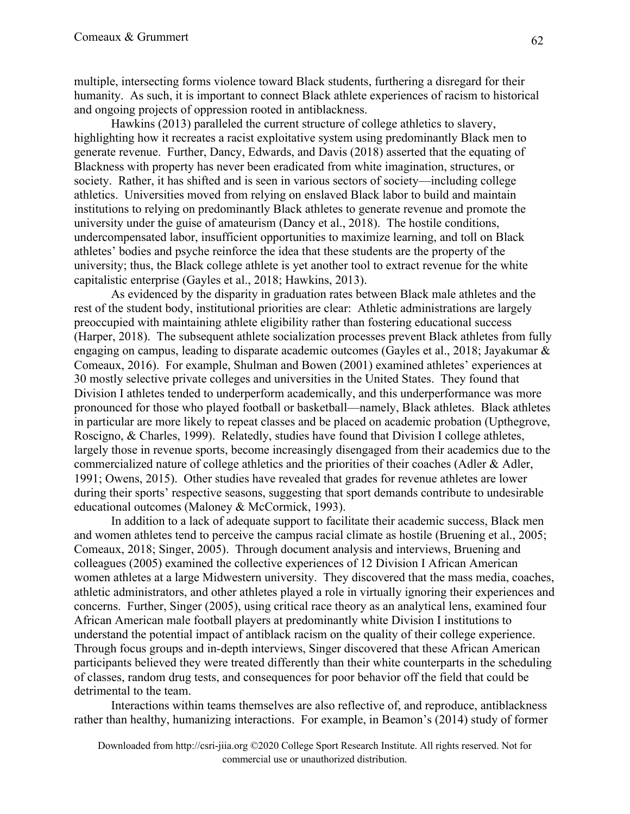multiple, intersecting forms violence toward Black students, furthering a disregard for their humanity. As such, it is important to connect Black athlete experiences of racism to historical and ongoing projects of oppression rooted in antiblackness.

Hawkins (2013) paralleled the current structure of college athletics to slavery, highlighting how it recreates a racist exploitative system using predominantly Black men to generate revenue. Further, Dancy, Edwards, and Davis (2018) asserted that the equating of Blackness with property has never been eradicated from white imagination, structures, or society. Rather, it has shifted and is seen in various sectors of society—including college athletics. Universities moved from relying on enslaved Black labor to build and maintain institutions to relying on predominantly Black athletes to generate revenue and promote the university under the guise of amateurism (Dancy et al., 2018). The hostile conditions, undercompensated labor, insufficient opportunities to maximize learning, and toll on Black athletes' bodies and psyche reinforce the idea that these students are the property of the university; thus, the Black college athlete is yet another tool to extract revenue for the white capitalistic enterprise (Gayles et al., 2018; Hawkins, 2013).

As evidenced by the disparity in graduation rates between Black male athletes and the rest of the student body, institutional priorities are clear: Athletic administrations are largely preoccupied with maintaining athlete eligibility rather than fostering educational success (Harper, 2018). The subsequent athlete socialization processes prevent Black athletes from fully engaging on campus, leading to disparate academic outcomes (Gayles et al., 2018; Jayakumar & Comeaux, 2016). For example, Shulman and Bowen (2001) examined athletes' experiences at 30 mostly selective private colleges and universities in the United States. They found that Division I athletes tended to underperform academically, and this underperformance was more pronounced for those who played football or basketball—namely, Black athletes. Black athletes in particular are more likely to repeat classes and be placed on academic probation (Upthegrove, Roscigno, & Charles, 1999). Relatedly, studies have found that Division I college athletes, largely those in revenue sports, become increasingly disengaged from their academics due to the commercialized nature of college athletics and the priorities of their coaches (Adler & Adler, 1991; Owens, 2015). Other studies have revealed that grades for revenue athletes are lower during their sports' respective seasons, suggesting that sport demands contribute to undesirable educational outcomes (Maloney & McCormick, 1993).

In addition to a lack of adequate support to facilitate their academic success, Black men and women athletes tend to perceive the campus racial climate as hostile (Bruening et al., 2005; Comeaux, 2018; Singer, 2005). Through document analysis and interviews, Bruening and colleagues (2005) examined the collective experiences of 12 Division I African American women athletes at a large Midwestern university. They discovered that the mass media, coaches, athletic administrators, and other athletes played a role in virtually ignoring their experiences and concerns. Further, Singer (2005), using critical race theory as an analytical lens, examined four African American male football players at predominantly white Division I institutions to understand the potential impact of antiblack racism on the quality of their college experience. Through focus groups and in-depth interviews, Singer discovered that these African American participants believed they were treated differently than their white counterparts in the scheduling of classes, random drug tests, and consequences for poor behavior off the field that could be detrimental to the team.

Interactions within teams themselves are also reflective of, and reproduce, antiblackness rather than healthy, humanizing interactions. For example, in Beamon's (2014) study of former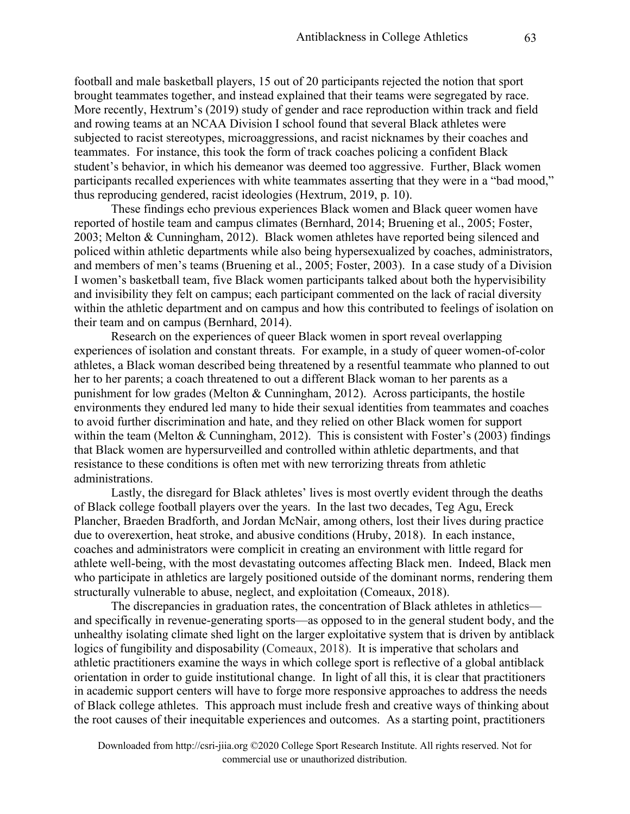football and male basketball players, 15 out of 20 participants rejected the notion that sport brought teammates together, and instead explained that their teams were segregated by race. More recently, Hextrum's (2019) study of gender and race reproduction within track and field and rowing teams at an NCAA Division I school found that several Black athletes were subjected to racist stereotypes, microaggressions, and racist nicknames by their coaches and teammates. For instance, this took the form of track coaches policing a confident Black student's behavior, in which his demeanor was deemed too aggressive. Further, Black women participants recalled experiences with white teammates asserting that they were in a "bad mood," thus reproducing gendered, racist ideologies (Hextrum, 2019, p. 10).

These findings echo previous experiences Black women and Black queer women have reported of hostile team and campus climates (Bernhard, 2014; Bruening et al., 2005; Foster, 2003; Melton & Cunningham, 2012). Black women athletes have reported being silenced and policed within athletic departments while also being hypersexualized by coaches, administrators, and members of men's teams (Bruening et al., 2005; Foster, 2003). In a case study of a Division I women's basketball team, five Black women participants talked about both the hypervisibility and invisibility they felt on campus; each participant commented on the lack of racial diversity within the athletic department and on campus and how this contributed to feelings of isolation on their team and on campus (Bernhard, 2014).

Research on the experiences of queer Black women in sport reveal overlapping experiences of isolation and constant threats. For example, in a study of queer women-of-color athletes, a Black woman described being threatened by a resentful teammate who planned to out her to her parents; a coach threatened to out a different Black woman to her parents as a punishment for low grades (Melton & Cunningham, 2012). Across participants, the hostile environments they endured led many to hide their sexual identities from teammates and coaches to avoid further discrimination and hate, and they relied on other Black women for support within the team (Melton & Cunningham, 2012). This is consistent with Foster's (2003) findings that Black women are hypersurveilled and controlled within athletic departments, and that resistance to these conditions is often met with new terrorizing threats from athletic administrations.

Lastly, the disregard for Black athletes' lives is most overtly evident through the deaths of Black college football players over the years. In the last two decades, Teg Agu, Ereck Plancher, Braeden Bradforth, and Jordan McNair, among others, lost their lives during practice due to overexertion, heat stroke, and abusive conditions (Hruby, 2018). In each instance, coaches and administrators were complicit in creating an environment with little regard for athlete well-being, with the most devastating outcomes affecting Black men. Indeed, Black men who participate in athletics are largely positioned outside of the dominant norms, rendering them structurally vulnerable to abuse, neglect, and exploitation (Comeaux, 2018).

The discrepancies in graduation rates, the concentration of Black athletes in athletics and specifically in revenue-generating sports—as opposed to in the general student body, and the unhealthy isolating climate shed light on the larger exploitative system that is driven by antiblack logics of fungibility and disposability (Comeaux, 2018). It is imperative that scholars and athletic practitioners examine the ways in which college sport is reflective of a global antiblack orientation in order to guide institutional change. In light of all this, it is clear that practitioners in academic support centers will have to forge more responsive approaches to address the needs of Black college athletes. This approach must include fresh and creative ways of thinking about the root causes of their inequitable experiences and outcomes. As a starting point, practitioners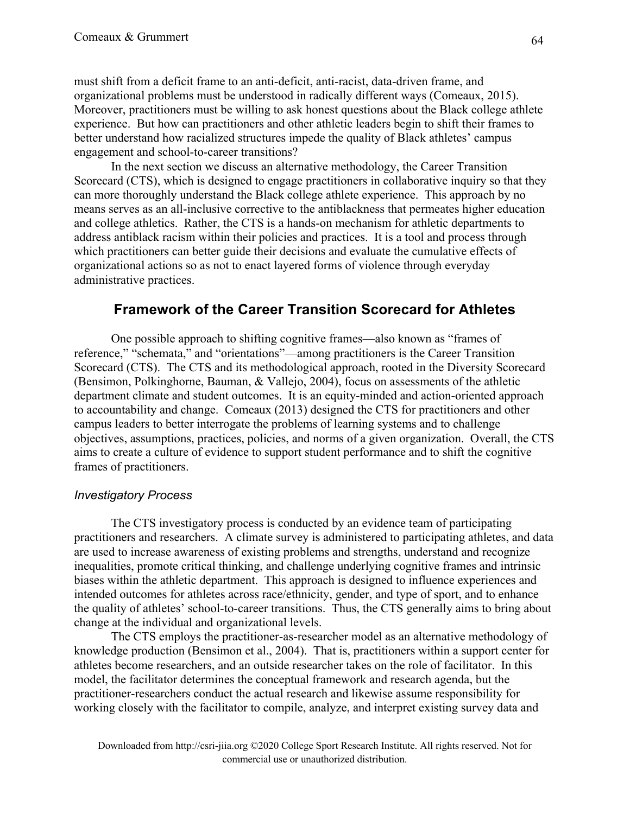must shift from a deficit frame to an anti-deficit, anti-racist, data-driven frame, and organizational problems must be understood in radically different ways (Comeaux, 2015). Moreover, practitioners must be willing to ask honest questions about the Black college athlete experience. But how can practitioners and other athletic leaders begin to shift their frames to better understand how racialized structures impede the quality of Black athletes' campus engagement and school-to-career transitions?

In the next section we discuss an alternative methodology, the Career Transition Scorecard (CTS), which is designed to engage practitioners in collaborative inquiry so that they can more thoroughly understand the Black college athlete experience. This approach by no means serves as an all-inclusive corrective to the antiblackness that permeates higher education and college athletics. Rather, the CTS is a hands-on mechanism for athletic departments to address antiblack racism within their policies and practices. It is a tool and process through which practitioners can better guide their decisions and evaluate the cumulative effects of organizational actions so as not to enact layered forms of violence through everyday administrative practices.

# **Framework of the Career Transition Scorecard for Athletes**

One possible approach to shifting cognitive frames—also known as "frames of reference," "schemata," and "orientations"—among practitioners is the Career Transition Scorecard (CTS). The CTS and its methodological approach, rooted in the Diversity Scorecard (Bensimon, Polkinghorne, Bauman, & Vallejo, 2004), focus on assessments of the athletic department climate and student outcomes. It is an equity-minded and action-oriented approach to accountability and change. Comeaux (2013) designed the CTS for practitioners and other campus leaders to better interrogate the problems of learning systems and to challenge objectives, assumptions, practices, policies, and norms of a given organization. Overall, the CTS aims to create a culture of evidence to support student performance and to shift the cognitive frames of practitioners.

### *Investigatory Process*

The CTS investigatory process is conducted by an evidence team of participating practitioners and researchers. A climate survey is administered to participating athletes, and data are used to increase awareness of existing problems and strengths, understand and recognize inequalities, promote critical thinking, and challenge underlying cognitive frames and intrinsic biases within the athletic department. This approach is designed to influence experiences and intended outcomes for athletes across race/ethnicity, gender, and type of sport, and to enhance the quality of athletes' school-to-career transitions. Thus, the CTS generally aims to bring about change at the individual and organizational levels.

The CTS employs the practitioner-as-researcher model as an alternative methodology of knowledge production (Bensimon et al., 2004). That is, practitioners within a support center for athletes become researchers, and an outside researcher takes on the role of facilitator. In this model, the facilitator determines the conceptual framework and research agenda, but the practitioner-researchers conduct the actual research and likewise assume responsibility for working closely with the facilitator to compile, analyze, and interpret existing survey data and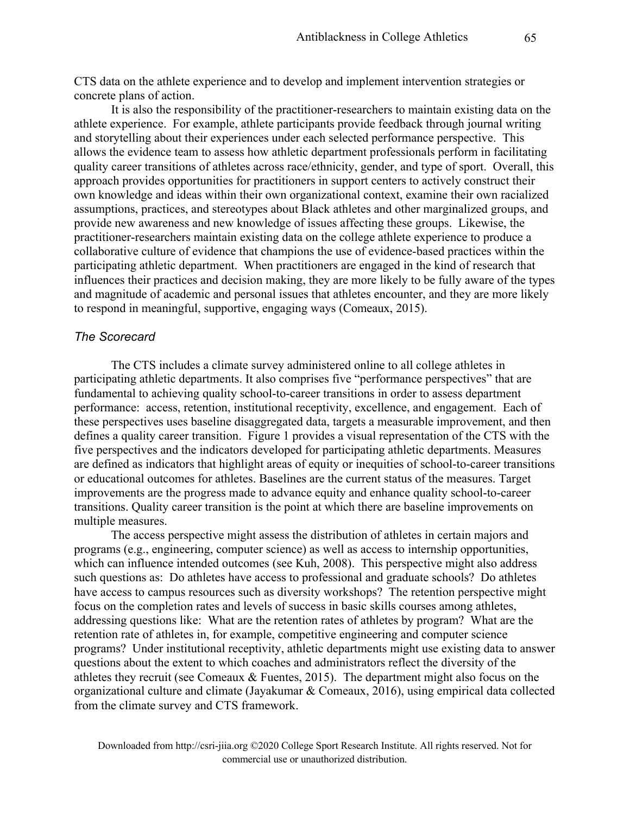CTS data on the athlete experience and to develop and implement intervention strategies or concrete plans of action.

It is also the responsibility of the practitioner-researchers to maintain existing data on the athlete experience. For example, athlete participants provide feedback through journal writing and storytelling about their experiences under each selected performance perspective. This allows the evidence team to assess how athletic department professionals perform in facilitating quality career transitions of athletes across race/ethnicity, gender, and type of sport. Overall, this approach provides opportunities for practitioners in support centers to actively construct their own knowledge and ideas within their own organizational context, examine their own racialized assumptions, practices, and stereotypes about Black athletes and other marginalized groups, and provide new awareness and new knowledge of issues affecting these groups. Likewise, the practitioner-researchers maintain existing data on the college athlete experience to produce a collaborative culture of evidence that champions the use of evidence-based practices within the participating athletic department. When practitioners are engaged in the kind of research that influences their practices and decision making, they are more likely to be fully aware of the types and magnitude of academic and personal issues that athletes encounter, and they are more likely to respond in meaningful, supportive, engaging ways (Comeaux, 2015).

#### *The Scorecard*

The CTS includes a climate survey administered online to all college athletes in participating athletic departments. It also comprises five "performance perspectives" that are fundamental to achieving quality school-to-career transitions in order to assess department performance: access, retention, institutional receptivity, excellence, and engagement. Each of these perspectives uses baseline disaggregated data, targets a measurable improvement, and then defines a quality career transition. Figure 1 provides a visual representation of the CTS with the five perspectives and the indicators developed for participating athletic departments. Measures are defined as indicators that highlight areas of equity or inequities of school-to-career transitions or educational outcomes for athletes. Baselines are the current status of the measures. Target improvements are the progress made to advance equity and enhance quality school-to-career transitions. Quality career transition is the point at which there are baseline improvements on multiple measures.

The access perspective might assess the distribution of athletes in certain majors and programs (e.g., engineering, computer science) as well as access to internship opportunities, which can influence intended outcomes (see Kuh, 2008). This perspective might also address such questions as: Do athletes have access to professional and graduate schools? Do athletes have access to campus resources such as diversity workshops? The retention perspective might focus on the completion rates and levels of success in basic skills courses among athletes, addressing questions like: What are the retention rates of athletes by program? What are the retention rate of athletes in, for example, competitive engineering and computer science programs? Under institutional receptivity, athletic departments might use existing data to answer questions about the extent to which coaches and administrators reflect the diversity of the athletes they recruit (see Comeaux & Fuentes, 2015). The department might also focus on the organizational culture and climate (Jayakumar & Comeaux, 2016), using empirical data collected from the climate survey and CTS framework.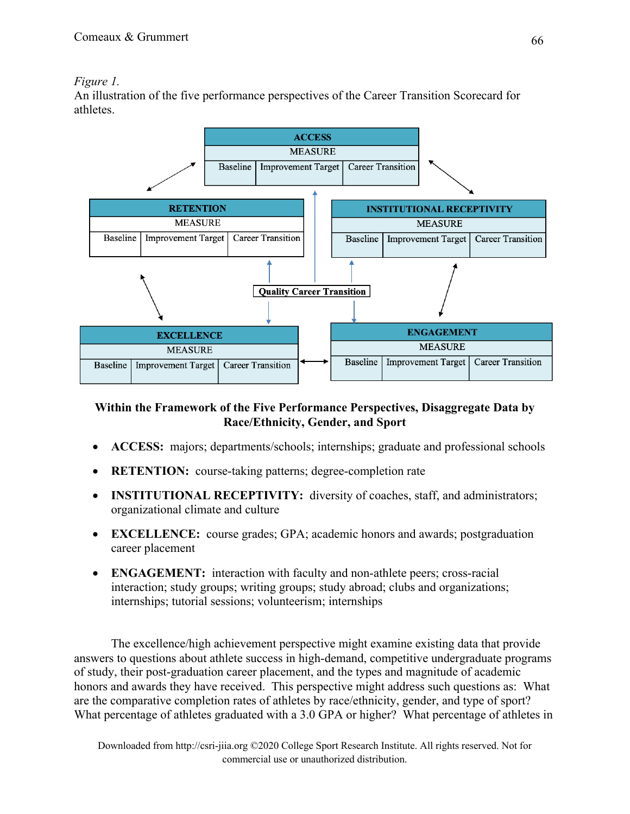## *Figure 1.*

An illustration of the five performance perspectives of the Career Transition Scorecard for athletes.



## **Within the Framework of the Five Performance Perspectives, Disaggregate Data by Race/Ethnicity, Gender, and Sport**

- **ACCESS:** majors; departments/schools; internships; graduate and professional schools
- **RETENTION:** course-taking patterns; degree-completion rate
- **INSTITUTIONAL RECEPTIVITY:** diversity of coaches, staff, and administrators; organizational climate and culture
- **EXCELLENCE:** course grades; GPA; academic honors and awards; postgraduation career placement
- **ENGAGEMENT:** interaction with faculty and non-athlete peers; cross-racial interaction; study groups; writing groups; study abroad; clubs and organizations; internships; tutorial sessions; volunteerism; internships

The excellence/high achievement perspective might examine existing data that provide answers to questions about athlete success in high-demand, competitive undergraduate programs of study, their post-graduation career placement, and the types and magnitude of academic honors and awards they have received. This perspective might address such questions as: What are the comparative completion rates of athletes by race/ethnicity, gender, and type of sport? What percentage of athletes graduated with a 3.0 GPA or higher? What percentage of athletes in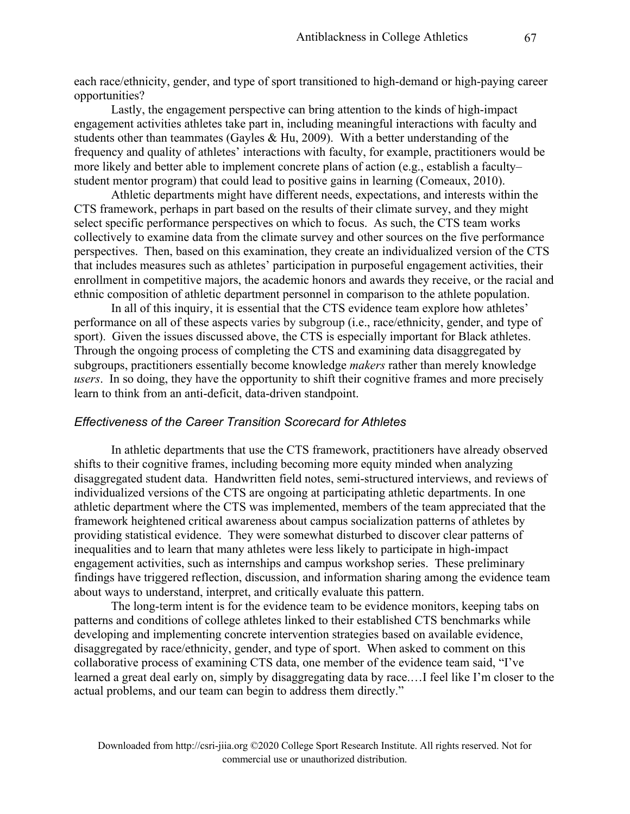each race/ethnicity, gender, and type of sport transitioned to high-demand or high-paying career opportunities?

Lastly, the engagement perspective can bring attention to the kinds of high-impact engagement activities athletes take part in, including meaningful interactions with faculty and students other than teammates (Gayles & Hu, 2009). With a better understanding of the frequency and quality of athletes' interactions with faculty, for example, practitioners would be more likely and better able to implement concrete plans of action (e.g., establish a faculty– student mentor program) that could lead to positive gains in learning (Comeaux, 2010).

Athletic departments might have different needs, expectations, and interests within the CTS framework, perhaps in part based on the results of their climate survey, and they might select specific performance perspectives on which to focus. As such, the CTS team works collectively to examine data from the climate survey and other sources on the five performance perspectives. Then, based on this examination, they create an individualized version of the CTS that includes measures such as athletes' participation in purposeful engagement activities, their enrollment in competitive majors, the academic honors and awards they receive, or the racial and ethnic composition of athletic department personnel in comparison to the athlete population.

In all of this inquiry, it is essential that the CTS evidence team explore how athletes' performance on all of these aspects varies by subgroup (i.e., race/ethnicity, gender, and type of sport). Given the issues discussed above, the CTS is especially important for Black athletes. Through the ongoing process of completing the CTS and examining data disaggregated by subgroups, practitioners essentially become knowledge *makers* rather than merely knowledge *users*. In so doing, they have the opportunity to shift their cognitive frames and more precisely learn to think from an anti-deficit, data-driven standpoint.

#### *Effectiveness of the Career Transition Scorecard for Athletes*

In athletic departments that use the CTS framework, practitioners have already observed shifts to their cognitive frames, including becoming more equity minded when analyzing disaggregated student data. Handwritten field notes, semi-structured interviews, and reviews of individualized versions of the CTS are ongoing at participating athletic departments. In one athletic department where the CTS was implemented, members of the team appreciated that the framework heightened critical awareness about campus socialization patterns of athletes by providing statistical evidence. They were somewhat disturbed to discover clear patterns of inequalities and to learn that many athletes were less likely to participate in high-impact engagement activities, such as internships and campus workshop series. These preliminary findings have triggered reflection, discussion, and information sharing among the evidence team about ways to understand, interpret, and critically evaluate this pattern.

The long-term intent is for the evidence team to be evidence monitors, keeping tabs on patterns and conditions of college athletes linked to their established CTS benchmarks while developing and implementing concrete intervention strategies based on available evidence, disaggregated by race/ethnicity, gender, and type of sport. When asked to comment on this collaborative process of examining CTS data, one member of the evidence team said, "I've learned a great deal early on, simply by disaggregating data by race.…I feel like I'm closer to the actual problems, and our team can begin to address them directly."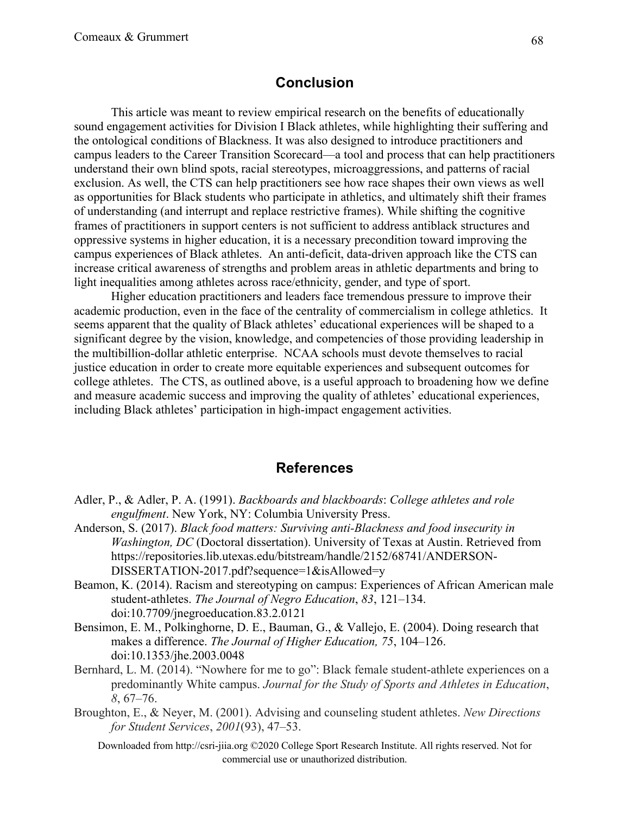#### **Conclusion**

This article was meant to review empirical research on the benefits of educationally sound engagement activities for Division I Black athletes, while highlighting their suffering and the ontological conditions of Blackness. It was also designed to introduce practitioners and campus leaders to the Career Transition Scorecard—a tool and process that can help practitioners understand their own blind spots, racial stereotypes, microaggressions, and patterns of racial exclusion. As well, the CTS can help practitioners see how race shapes their own views as well as opportunities for Black students who participate in athletics, and ultimately shift their frames of understanding (and interrupt and replace restrictive frames). While shifting the cognitive frames of practitioners in support centers is not sufficient to address antiblack structures and oppressive systems in higher education, it is a necessary precondition toward improving the campus experiences of Black athletes. An anti-deficit, data-driven approach like the CTS can increase critical awareness of strengths and problem areas in athletic departments and bring to light inequalities among athletes across race/ethnicity, gender, and type of sport.

Higher education practitioners and leaders face tremendous pressure to improve their academic production, even in the face of the centrality of commercialism in college athletics. It seems apparent that the quality of Black athletes' educational experiences will be shaped to a significant degree by the vision, knowledge, and competencies of those providing leadership in the multibillion-dollar athletic enterprise. NCAA schools must devote themselves to racial justice education in order to create more equitable experiences and subsequent outcomes for college athletes. The CTS, as outlined above, is a useful approach to broadening how we define and measure academic success and improving the quality of athletes' educational experiences, including Black athletes' participation in high-impact engagement activities.

#### **References**

- Adler, P., & Adler, P. A. (1991). *Backboards and blackboards*: *College athletes and role engulfment*. New York, NY: Columbia University Press.
- Anderson, S. (2017). *Black food matters: Surviving anti-Blackness and food insecurity in Washington, DC* (Doctoral dissertation). University of Texas at Austin. Retrieved from https://repositories.lib.utexas.edu/bitstream/handle/2152/68741/ANDERSON-DISSERTATION-2017.pdf?sequence=1&isAllowed=y
- Beamon, K. (2014). Racism and stereotyping on campus: Experiences of African American male student-athletes. *The Journal of Negro Education*, *83*, 121–134. doi:10.7709/jnegroeducation.83.2.0121
- Bensimon, E. M., Polkinghorne, D. E., Bauman, G., & Vallejo, E. (2004). Doing research that makes a difference. *The Journal of Higher Education, 75*, 104–126. doi:10.1353/jhe.2003.0048
- Bernhard, L. M. (2014). "Nowhere for me to go": Black female student-athlete experiences on a predominantly White campus. *Journal for the Study of Sports and Athletes in Education*, *8*, 67–76.
- Broughton, E., & Neyer, M. (2001). Advising and counseling student athletes. *New Directions for Student Services*, *2001*(93), 47–53.
	- Downloaded from http://csri-jiia.org ©2020 College Sport Research Institute. All rights reserved. Not for commercial use or unauthorized distribution.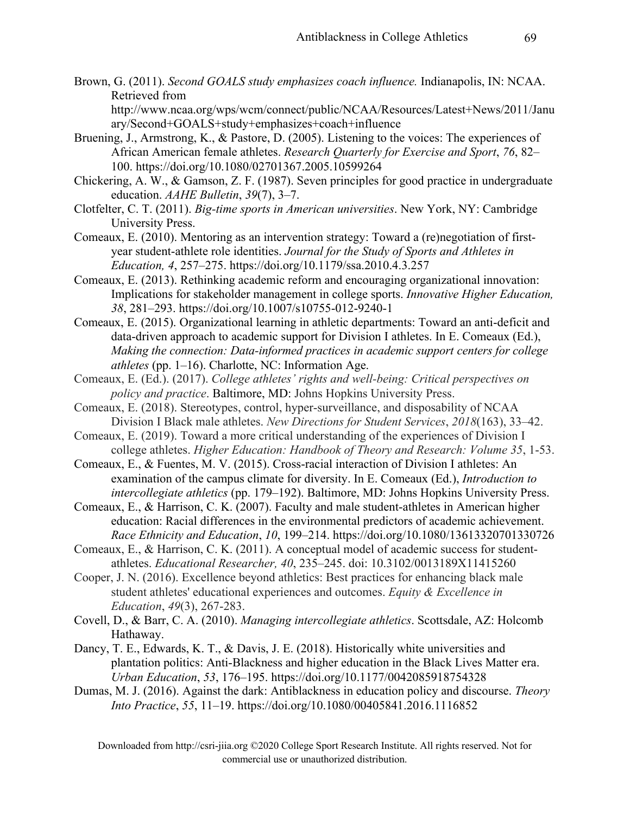Brown, G. (2011). *Second GOALS study emphasizes coach influence.* Indianapolis, IN: NCAA. Retrieved from

http://www.ncaa.org/wps/wcm/connect/public/NCAA/Resources/Latest+News/2011/Janu ary/Second+GOALS+study+emphasizes+coach+influence

- Bruening, J., Armstrong, K., & Pastore, D. (2005). Listening to the voices: The experiences of African American female athletes. *Research Quarterly for Exercise and Sport*, *76*, 82– 100. https://doi.org/10.1080/02701367.2005.10599264
- Chickering, A. W., & Gamson, Z. F. (1987). Seven principles for good practice in undergraduate education. *AAHE Bulletin*, *39*(7), 3–7.
- Clotfelter, C. T. (2011). *Big-time sports in American universities*. New York, NY: Cambridge University Press.
- Comeaux, E. (2010). Mentoring as an intervention strategy: Toward a (re)negotiation of firstyear student-athlete role identities. *Journal for the Study of Sports and Athletes in Education, 4*, 257–275. https://doi.org/10.1179/ssa.2010.4.3.257
- Comeaux, E. (2013). Rethinking academic reform and encouraging organizational innovation: Implications for stakeholder management in college sports. *Innovative Higher Education, 38*, 281–293. https://doi.org/10.1007/s10755-012-9240-1
- Comeaux, E. (2015). Organizational learning in athletic departments: Toward an anti-deficit and data-driven approach to academic support for Division I athletes. In E. Comeaux (Ed.), *Making the connection: Data-informed practices in academic support centers for college athletes* (pp. 1–16). Charlotte, NC: Information Age.
- Comeaux, E. (Ed.). (2017). *College athletes' rights and well-being: Critical perspectives on policy and practice*. Baltimore, MD: Johns Hopkins University Press.
- Comeaux, E. (2018). Stereotypes, control, hyper‐surveillance, and disposability of NCAA Division I Black male athletes. *New Directions for Student Services*, *2018*(163), 33–42.
- Comeaux, E. (2019). Toward a more critical understanding of the experiences of Division I college athletes. *Higher Education: Handbook of Theory and Research: Volume 35*, 1-53.
- Comeaux, E., & Fuentes, M. V. (2015). Cross-racial interaction of Division I athletes: An examination of the campus climate for diversity. In E. Comeaux (Ed.), *Introduction to intercollegiate athletics* (pp. 179–192). Baltimore, MD: Johns Hopkins University Press.
- Comeaux, E., & Harrison, C. K. (2007). Faculty and male student-athletes in American higher education: Racial differences in the environmental predictors of academic achievement. *Race Ethnicity and Education*, *10*, 199–214. https://doi.org/10.1080/13613320701330726
- Comeaux, E., & Harrison, C. K. (2011). A conceptual model of academic success for studentathletes. *Educational Researcher, 40*, 235–245. doi: 10.3102/0013189X11415260
- Cooper, J. N. (2016). Excellence beyond athletics: Best practices for enhancing black male student athletes' educational experiences and outcomes. *Equity & Excellence in Education*, *49*(3), 267-283.
- Covell, D., & Barr, C. A. (2010). *Managing intercollegiate athletics*. Scottsdale, AZ: Holcomb Hathaway.
- Dancy, T. E., Edwards, K. T., & Davis, J. E. (2018). Historically white universities and plantation politics: Anti-Blackness and higher education in the Black Lives Matter era. *Urban Education*, *53*, 176–195. https://doi.org/10.1177/0042085918754328
- Dumas, M. J. (2016). Against the dark: Antiblackness in education policy and discourse. *Theory Into Practice*, *55*, 11–19. https://doi.org/10.1080/00405841.2016.1116852

Downloaded from http://csri-jiia.org ©2020 College Sport Research Institute. All rights reserved. Not for commercial use or unauthorized distribution.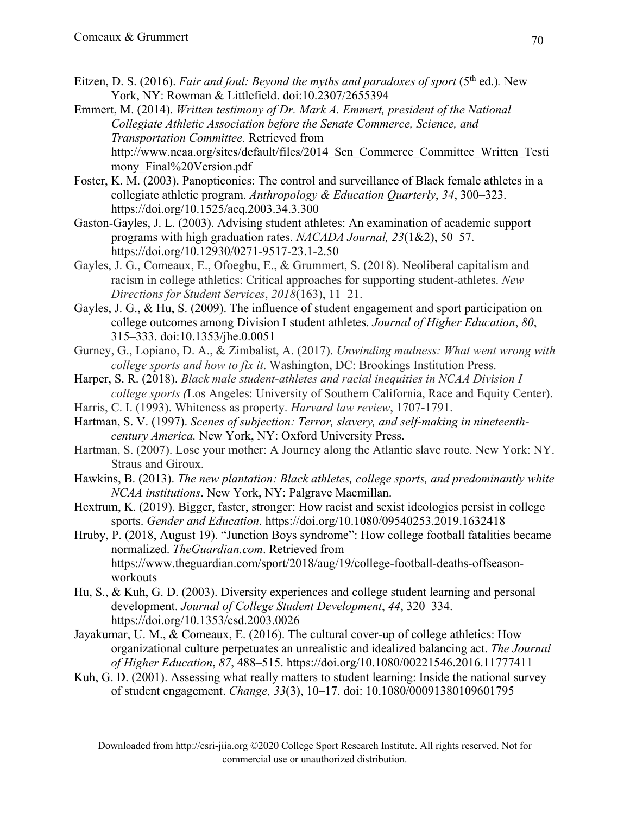- Eitzen, D. S. (2016). *Fair and foul: Beyond the myths and paradoxes of sport* (5<sup>th</sup> ed.). New York, NY: Rowman & Littlefield. doi:10.2307/2655394
- Emmert, M. (2014). *Written testimony of Dr. Mark A. Emmert, president of the National Collegiate Athletic Association before the Senate Commerce, Science, and Transportation Committee.* Retrieved from http://www.ncaa.org/sites/default/files/2014\_Sen\_Commerce\_Committee\_Written\_Testi mony Final%20Version.pdf
- Foster, K. M. (2003). Panopticonics: The control and surveillance of Black female athletes in a collegiate athletic program. *Anthropology & Education Quarterly*, *34*, 300–323. https://doi.org/10.1525/aeq.2003.34.3.300
- Gaston-Gayles, J. L. (2003). Advising student athletes: An examination of academic support programs with high graduation rates. *NACADA Journal, 23*(1&2), 50–57. https://doi.org/10.12930/0271-9517-23.1-2.50
- Gayles, J. G., Comeaux, E., Ofoegbu, E., & Grummert, S. (2018). Neoliberal capitalism and racism in college athletics: Critical approaches for supporting student‐athletes. *New Directions for Student Services*, *2018*(163), 11–21.
- Gayles, J. G., & Hu, S. (2009). The influence of student engagement and sport participation on college outcomes among Division I student athletes. *Journal of Higher Education*, *80*, 315–333. doi:10.1353/jhe.0.0051
- Gurney, G., Lopiano, D. A., & Zimbalist, A. (2017). *Unwinding madness: What went wrong with college sports and how to fix it*. Washington, DC: Brookings Institution Press.
- Harper, S. R. (2018). *Black male student-athletes and racial inequities in NCAA Division I college sports (*Los Angeles: University of Southern California, Race and Equity Center).
- Harris, C. I. (1993). Whiteness as property. *Harvard law review*, 1707-1791.
- Hartman, S. V. (1997). *Scenes of subjection: Terror, slavery, and self-making in nineteenthcentury America.* New York, NY: Oxford University Press.
- Hartman, S. (2007). Lose your mother: A Journey along the Atlantic slave route. New York: NY. Straus and Giroux.
- Hawkins, B. (2013). *The new plantation: Black athletes, college sports, and predominantly white NCAA institutions*. New York, NY: Palgrave Macmillan.
- Hextrum, K. (2019). Bigger, faster, stronger: How racist and sexist ideologies persist in college sports. *Gender and Education*. https://doi.org/10.1080/09540253.2019.1632418
- Hruby, P. (2018, August 19). "Junction Boys syndrome": How college football fatalities became normalized. *TheGuardian.com*. Retrieved from https://www.theguardian.com/sport/2018/aug/19/college-football-deaths-offseasonworkouts
- Hu, S., & Kuh, G. D. (2003). Diversity experiences and college student learning and personal development. *Journal of College Student Development*, *44*, 320–334. https://doi.org/10.1353/csd.2003.0026
- Jayakumar, U. M., & Comeaux, E. (2016). The cultural cover-up of college athletics: How organizational culture perpetuates an unrealistic and idealized balancing act. *The Journal of Higher Education*, *87*, 488–515. https://doi.org/10.1080/00221546.2016.11777411
- Kuh, G. D. (2001). Assessing what really matters to student learning: Inside the national survey of student engagement. *Change, 33*(3), 10–17. doi: 10.1080/00091380109601795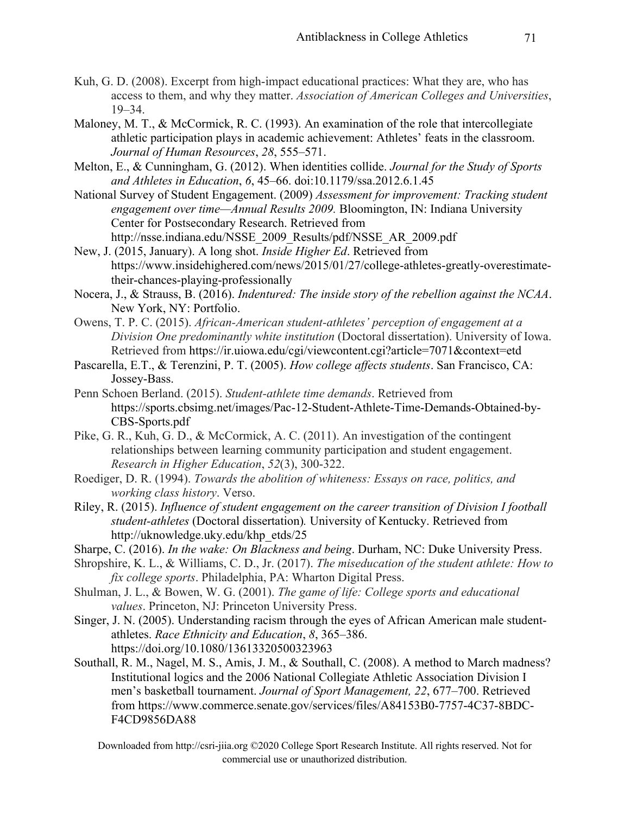- Kuh, G. D. (2008). Excerpt from high-impact educational practices: What they are, who has access to them, and why they matter. *Association of American Colleges and Universities*, 19–34.
- Maloney, M. T., & McCormick, R. C. (1993). An examination of the role that intercollegiate athletic participation plays in academic achievement: Athletes' feats in the classroom. *Journal of Human Resources*, *28*, 555–571.
- Melton, E., & Cunningham, G. (2012). When identities collide. *Journal for the Study of Sports and Athletes in Education*, *6*, 45–66. doi:10.1179/ssa.2012.6.1.45
- National Survey of Student Engagement. (2009) *Assessment for improvement: Tracking student engagement over time—Annual Results 2009.* Bloomington, IN: Indiana University Center for Postsecondary Research. Retrieved from http://nsse.indiana.edu/NSSE\_2009\_Results/pdf/NSSE\_AR\_2009.pdf
- New, J. (2015, January). A long shot. *Inside Higher Ed*. Retrieved from https://www.insidehighered.com/news/2015/01/27/college-athletes-greatly-overestimatetheir-chances-playing-professionally
- Nocera, J., & Strauss, B. (2016). *Indentured: The inside story of the rebellion against the NCAA*. New York, NY: Portfolio.
- Owens, T. P. C. (2015). *African-American student-athletes' perception of engagement at a Division One predominantly white institution* (Doctoral dissertation). University of Iowa. Retrieved from https://ir.uiowa.edu/cgi/viewcontent.cgi?article=7071&context=etd
- Pascarella, E.T., & Terenzini, P. T. (2005). *How college affects students*. San Francisco, CA: Jossey-Bass.
- Penn Schoen Berland. (2015). *Student-athlete time demands*. Retrieved from https://sports.cbsimg.net/images/Pac-12-Student-Athlete-Time-Demands-Obtained-by-CBS-Sports.pdf
- Pike, G. R., Kuh, G. D., & McCormick, A. C. (2011). An investigation of the contingent relationships between learning community participation and student engagement. *Research in Higher Education*, *52*(3), 300-322.
- Roediger, D. R. (1994). *Towards the abolition of whiteness: Essays on race, politics, and working class history*. Verso.
- Riley, R. (2015). *Influence of student engagement on the career transition of Division I football student-athletes* (Doctoral dissertation)*.* University of Kentucky. Retrieved from http://uknowledge.uky.edu/khp\_etds/25
- Sharpe, C. (2016). *In the wake: On Blackness and being*. Durham, NC: Duke University Press.
- Shropshire, K. L., & Williams, C. D., Jr. (2017). *The miseducation of the student athlete: How to fix college sports*. Philadelphia, PA: Wharton Digital Press.
- Shulman, J. L., & Bowen, W. G. (2001). *The game of life: College sports and educational values*. Princeton, NJ: Princeton University Press.
- Singer, J. N. (2005). Understanding racism through the eyes of African American male studentathletes. *Race Ethnicity and Education*, *8*, 365–386. https://doi.org/10.1080/13613320500323963
- Southall, R. M., Nagel, M. S., Amis, J. M., & Southall, C. (2008). A method to March madness? Institutional logics and the 2006 National Collegiate Athletic Association Division I men's basketball tournament. *Journal of Sport Management, 22*, 677–700. Retrieved from https://www.commerce.senate.gov/services/files/A84153B0-7757-4C37-8BDC-F4CD9856DA88

Downloaded from http://csri-jiia.org ©2020 College Sport Research Institute. All rights reserved. Not for commercial use or unauthorized distribution.